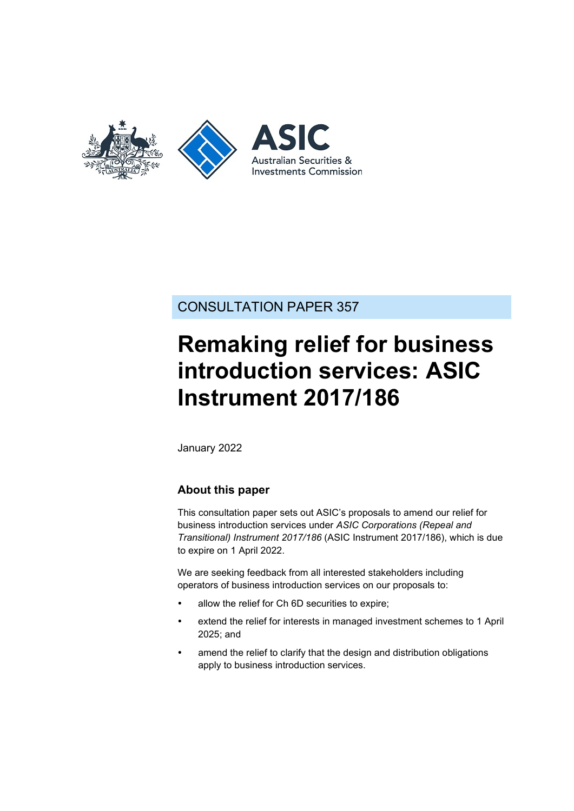

# CONSULTATION PAPER 357

# **Remaking relief for business introduction services: ASIC Instrument 2017/186**

January 2022

### **About this paper**

This consultation paper sets out ASIC's proposals to amend our relief for business introduction services under *ASIC Corporations (Repeal and Transitional) Instrument 2017/186* (ASIC Instrument 2017/186), which is due to expire on 1 April 2022.

We are seeking feedback from all interested stakeholders including operators of business introduction services on our proposals to:

- allow the relief for Ch 6D securities to expire;
- extend the relief for interests in managed investment schemes to 1 April 2025; and
- amend the relief to clarify that the design and distribution obligations apply to business introduction services.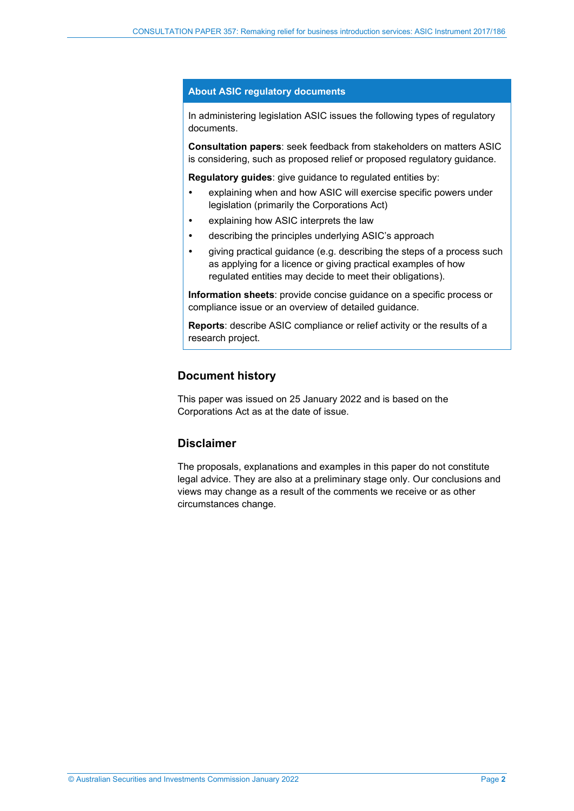#### **About ASIC regulatory documents**

In administering legislation ASIC issues the following types of regulatory documents.

**Consultation papers**: seek feedback from stakeholders on matters ASIC is considering, such as proposed relief or proposed regulatory guidance.

**Regulatory guides**: give guidance to regulated entities by:

- explaining when and how ASIC will exercise specific powers under legislation (primarily the Corporations Act)
- explaining how ASIC interprets the law
- describing the principles underlying ASIC's approach
- giving practical guidance (e.g. describing the steps of a process such as applying for a licence or giving practical examples of how regulated entities may decide to meet their obligations).

**Information sheets**: provide concise guidance on a specific process or compliance issue or an overview of detailed guidance.

**Reports**: describe ASIC compliance or relief activity or the results of a research project.

#### **Document history**

This paper was issued on 25 January 2022 and is based on the Corporations Act as at the date of issue.

### **Disclaimer**

The proposals, explanations and examples in this paper do not constitute legal advice. They are also at a preliminary stage only. Our conclusions and views may change as a result of the comments we receive or as other circumstances change.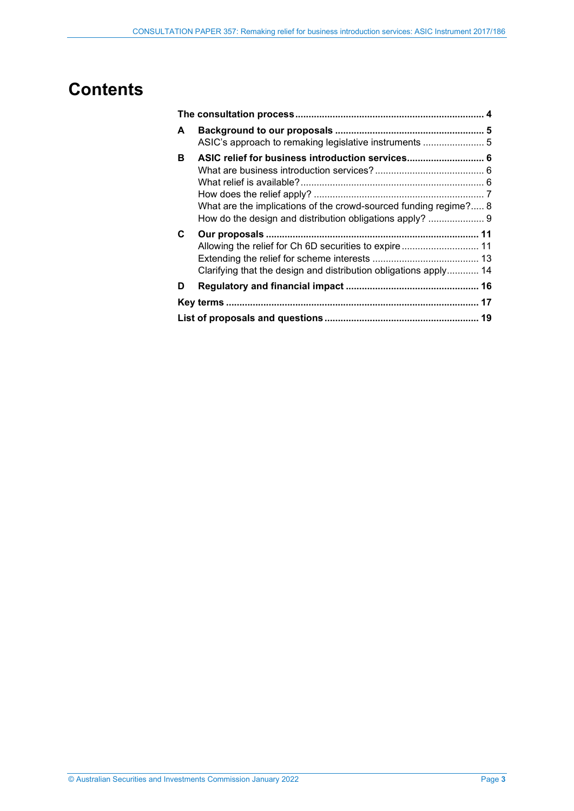# **Contents**

| A  | ASIC's approach to remaking legislative instruments  5                                                               |  |  |
|----|----------------------------------------------------------------------------------------------------------------------|--|--|
| в  | ASIC relief for business introduction services 6<br>What are the implications of the crowd-sourced funding regime? 8 |  |  |
| C. | Clarifying that the design and distribution obligations apply 14                                                     |  |  |
| D  |                                                                                                                      |  |  |
|    |                                                                                                                      |  |  |
|    |                                                                                                                      |  |  |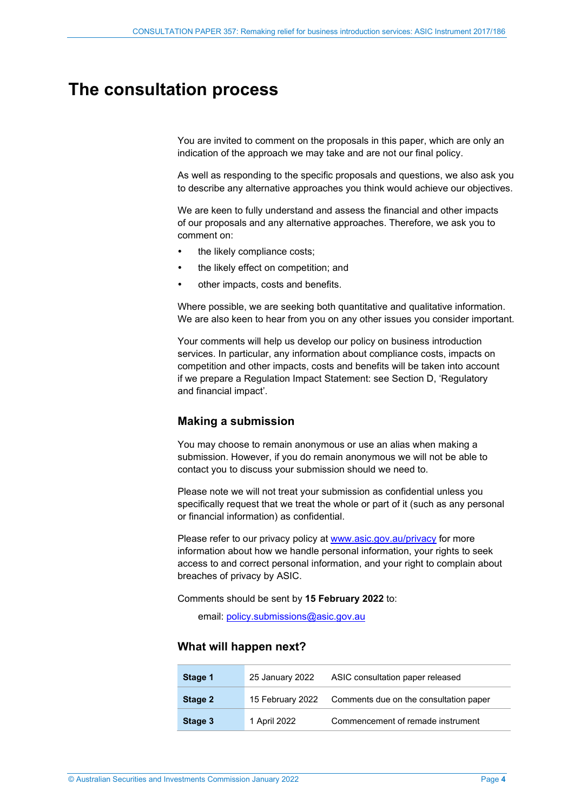# <span id="page-3-1"></span><span id="page-3-0"></span>**The consultation process**

You are invited to comment on the proposals in this paper, which are only an indication of the approach we may take and are not our final policy.

As well as responding to the specific proposals and questions, we also ask you to describe any alternative approaches you think would achieve our objectives.

We are keen to fully understand and assess the financial and other impacts of our proposals and any alternative approaches. Therefore, we ask you to comment on:

- the likely compliance costs;
- the likely effect on competition; and
- other impacts, costs and benefits.

Where possible, we are seeking both quantitative and qualitative information. We are also keen to hear from you on any other issues you consider important.

Your comments will help us develop our policy on business introduction services. In particular, any information about compliance costs, impacts on competition and other impacts, costs and benefits will be taken into account if we prepare a Regulation Impact Statement: see Section [D,](#page-15-0) 'Regulatory and financial impact'.

#### **Making a submission**

You may choose to remain anonymous or use an alias when making a submission. However, if you do remain anonymous we will not be able to contact you to discuss your submission should we need to.

Please note we will not treat your submission as confidential unless you specifically request that we treat the whole or part of it (such as any personal or financial information) as confidential.

Please refer to our privacy policy at www.asic.gov.au/privacy for more information about how we handle personal information, your rights to seek access to and correct personal information, and your right to complain about breaches of privacy by ASIC.

Comments should be sent by **15 February 2022** to:

email: [policy.submissions@asic.gov.au](mailto:policy.submissions@asic.gov.au)

#### **What will happen next?**

| Stage 1                     | 25 January 2022 | ASIC consultation paper released       |  |
|-----------------------------|-----------------|----------------------------------------|--|
| 15 February 2022<br>Stage 2 |                 | Comments due on the consultation paper |  |
| Stage 3                     | 1 April 2022    | Commencement of remade instrument      |  |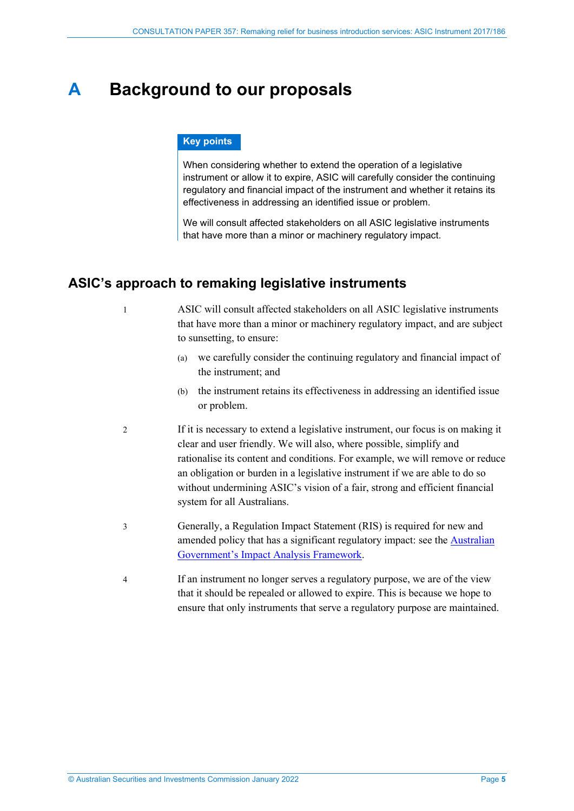# <span id="page-4-0"></span>**A Background to our proposals**

#### **Key points**

When considering whether to extend the operation of a legislative instrument or allow it to expire, ASIC will carefully consider the continuing regulatory and financial impact of the instrument and whether it retains its effectiveness in addressing an identified issue or problem.

We will consult affected stakeholders on all ASIC legislative instruments that have more than a minor or machinery regulatory impact.

## <span id="page-4-1"></span>**ASIC's approach to remaking legislative instruments**

1 ASIC will consult affected stakeholders on all ASIC legislative instruments that have more than a minor or machinery regulatory impact, and are subject to sunsetting, to ensure:

- (a) we carefully consider the continuing regulatory and financial impact of the instrument; and
- (b) the instrument retains its effectiveness in addressing an identified issue or problem.
- 2 If it is necessary to extend a legislative instrument, our focus is on making it clear and user friendly. We will also, where possible, simplify and rationalise its content and conditions. For example, we will remove or reduce an obligation or burden in a legislative instrument if we are able to do so without undermining ASIC's vision of a fair, strong and efficient financial system for all Australians.
- 3 Generally, a Regulation Impact Statement (RIS) is required for new and amended policy that has a significant regulatory impact: see the **Australian** [Government's Impact Analysis Framework.](https://obpr.pmc.gov.au/impact-analysis-process)
- 4 If an instrument no longer serves a regulatory purpose, we are of the view that it should be repealed or allowed to expire. This is because we hope to ensure that only instruments that serve a regulatory purpose are maintained.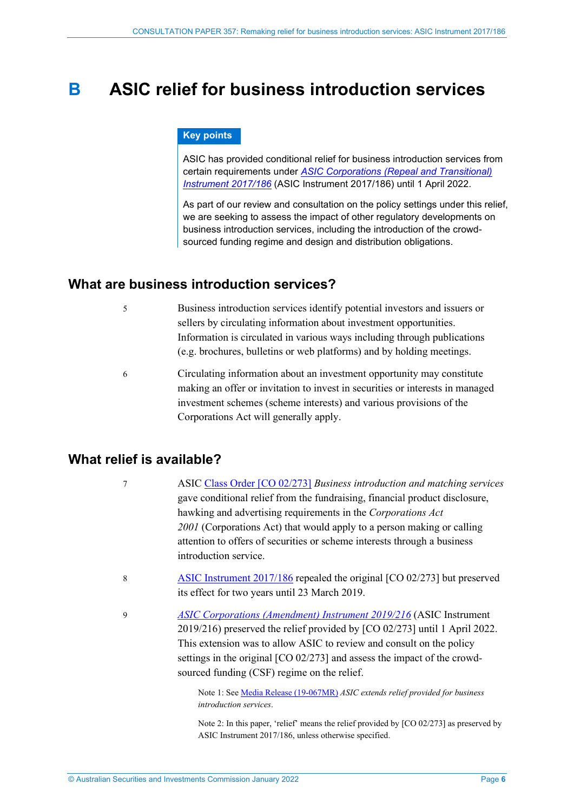# <span id="page-5-0"></span>**B ASIC relief for business introduction services**

#### **Key points**

ASIC has provided conditional relief for business introduction services from certain requirements under *[ASIC Corporations \(Repeal and Transitional\)](https://www.legislation.gov.au/Details/F2019C00217)  [Instrument 2017/186](https://www.legislation.gov.au/Details/F2019C00217)* (ASIC Instrument 2017/186) until 1 April 2022.

As part of our review and consultation on the policy settings under this relief, we are seeking to assess the impact of other regulatory developments on business introduction services, including the introduction of the crowdsourced funding regime and design and distribution obligations.

### <span id="page-5-1"></span>**What are business introduction services?**

- 5 Business introduction services identify potential investors and issuers or sellers by circulating information about investment opportunities. Information is circulated in various ways including through publications (e.g. brochures, bulletins or web platforms) and by holding meetings.
- 6 Circulating information about an investment opportunity may constitute making an offer or invitation to invest in securities or interests in managed investment schemes (scheme interests) and various provisions of the Corporations Act will generally apply.

# <span id="page-5-2"></span>**What relief is available?**

- 7 ASIC [Class Order \[CO 02/273\]](https://www.legislation.gov.au/Details/F2007B00368) *Business introduction and matching services* gave conditional relief from the fundraising, financial product disclosure, hawking and advertising requirements in the *Corporations Act 2001* (Corporations Act) that would apply to a person making or calling attention to offers of securities or scheme interests through a business introduction service.
- 8 [ASIC Instrument 2017/186](https://www.legislation.gov.au/Details/F2019C00217) repealed the original [CO 02/273] but preserved its effect for two years until 23 March 2019.
- 9 *[ASIC Corporations \(Amendment\) Instrument 2019/216](https://www.legislation.gov.au/Details/F2019L00325)* (ASIC Instrument 2019/216) preserved the relief provided by [CO 02/273] until 1 April 2022. This extension was to allow ASIC to review and consult on the policy settings in the original [CO 02/273] and assess the impact of the crowdsourced funding (CSF) regime on the relief.

Note 1: See [Media Release \(19-067MR\)](https://asic.gov.au/about-asic/news-centre/find-a-media-release/2019-releases/19-067mr-asic-extends-relief-provided-for-business-introduction-services/) *ASIC extends relief provided for business introduction services*.

Note 2: In this paper, 'relief' means the relief provided by [CO 02/273] as preserved by ASIC Instrument 2017/186, unless otherwise specified.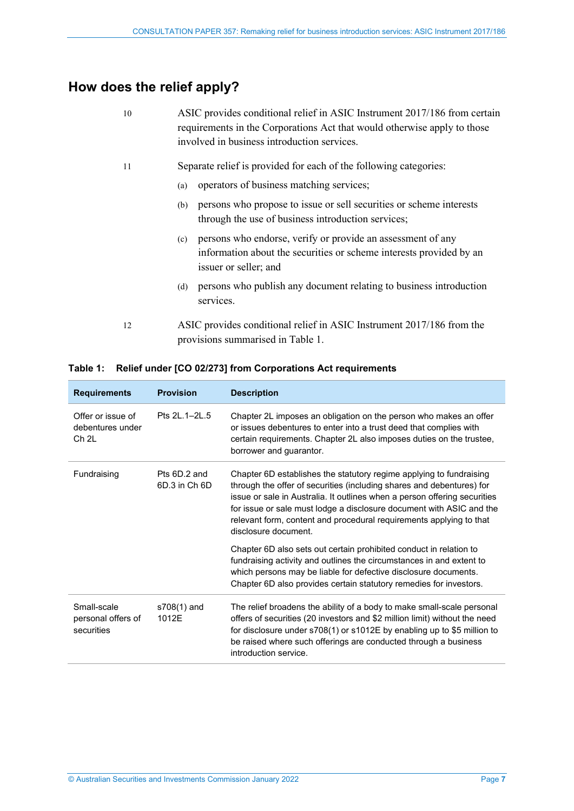# <span id="page-6-0"></span>**How does the relief apply?**

| 10 | ASIC provides conditional relief in ASIC Instrument 2017/186 from certain<br>requirements in the Corporations Act that would otherwise apply to those<br>involved in business introduction services. |
|----|------------------------------------------------------------------------------------------------------------------------------------------------------------------------------------------------------|
| 11 | Separate relief is provided for each of the following categories:                                                                                                                                    |
|    | operators of business matching services;<br>(a)                                                                                                                                                      |
|    | persons who propose to issue or sell securities or scheme interests<br>(b)<br>through the use of business introduction services;                                                                     |
|    | persons who endorse, verify or provide an assessment of any<br>(c)<br>information about the securities or scheme interests provided by an<br>issuer or seller; and                                   |
|    | persons who publish any document relating to business introduction<br>(d)<br>services.                                                                                                               |
| 12 | ASIC provides conditional relief in ASIC Instrument 2017/186 from the<br>provisions summarised in Table 1.                                                                                           |

| <b>Requirements</b>                                       | <b>Provision</b>              | <b>Description</b>                                                                                                                                                                                                                                                                                                                                                                               |  |  |  |
|-----------------------------------------------------------|-------------------------------|--------------------------------------------------------------------------------------------------------------------------------------------------------------------------------------------------------------------------------------------------------------------------------------------------------------------------------------------------------------------------------------------------|--|--|--|
| Offer or issue of<br>debentures under<br>Ch <sub>2L</sub> | Pts 21 1-21 5                 | Chapter 2L imposes an obligation on the person who makes an offer<br>or issues debentures to enter into a trust deed that complies with<br>certain requirements. Chapter 2L also imposes duties on the trustee,<br>borrower and guarantor.                                                                                                                                                       |  |  |  |
| Fundraising                                               | Pts 6D.2 and<br>6D.3 in Ch 6D | Chapter 6D establishes the statutory regime applying to fundraising<br>through the offer of securities (including shares and debentures) for<br>issue or sale in Australia. It outlines when a person offering securities<br>for issue or sale must lodge a disclosure document with ASIC and the<br>relevant form, content and procedural requirements applying to that<br>disclosure document. |  |  |  |
|                                                           |                               | Chapter 6D also sets out certain prohibited conduct in relation to<br>fundraising activity and outlines the circumstances in and extent to<br>which persons may be liable for defective disclosure documents.<br>Chapter 6D also provides certain statutory remedies for investors.                                                                                                              |  |  |  |
| Small-scale<br>personal offers of<br>securities           | s708(1) and<br>1012E          | The relief broadens the ability of a body to make small-scale personal<br>offers of securities (20 investors and \$2 million limit) without the need<br>for disclosure under s708(1) or s1012E by enabling up to \$5 million to<br>be raised where such offerings are conducted through a business<br>introduction service.                                                                      |  |  |  |

#### <span id="page-6-1"></span>**Table 1: Relief under [CO 02/273] from Corporations Act requirements**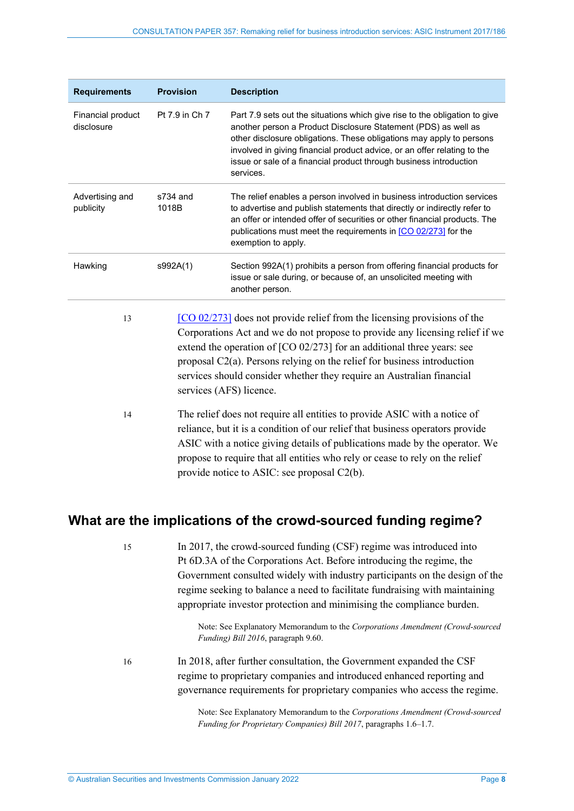| <b>Requirements</b>                                            | <b>Provision</b>  | <b>Description</b>                                                                                                                                                                                                                                                                                                                                                                                                       |  |  |
|----------------------------------------------------------------|-------------------|--------------------------------------------------------------------------------------------------------------------------------------------------------------------------------------------------------------------------------------------------------------------------------------------------------------------------------------------------------------------------------------------------------------------------|--|--|
| Financial product<br>disclosure                                | Pt 7.9 in Ch 7    | Part 7.9 sets out the situations which give rise to the obligation to give<br>another person a Product Disclosure Statement (PDS) as well as<br>other disclosure obligations. These obligations may apply to persons<br>involved in giving financial product advice, or an offer relating to the<br>issue or sale of a financial product through business introduction<br>services.                                      |  |  |
| Advertising and<br>publicity                                   | s734 and<br>1018B | The relief enables a person involved in business introduction services<br>to advertise and publish statements that directly or indirectly refer to<br>an offer or intended offer of securities or other financial products. The<br>publications must meet the requirements in [CO 02/273] for the<br>exemption to apply.                                                                                                 |  |  |
| Hawking                                                        | s992A(1)          | Section 992A(1) prohibits a person from offering financial products for<br>issue or sale during, or because of, an unsolicited meeting with<br>another person.                                                                                                                                                                                                                                                           |  |  |
| 13                                                             |                   | $[CO 02/273]$ does not provide relief from the licensing provisions of the<br>Corporations Act and we do not propose to provide any licensing relief if we<br>extend the operation of $[CO 02/273]$ for an additional three years: see<br>proposal $C2(a)$ . Persons relying on the relief for business introduction<br>services should consider whether they require an Australian financial<br>services (AFS) licence. |  |  |
| 14<br>provide notice to ASIC: see proposal C2(b).              |                   | The relief does not require all entities to provide ASIC with a notice of<br>reliance, but it is a condition of our relief that business operators provide<br>ASIC with a notice giving details of publications made by the operator. We<br>propose to require that all entities who rely or cease to rely on the relief                                                                                                 |  |  |
| What are the implications of the crowd-sourced funding regime? |                   |                                                                                                                                                                                                                                                                                                                                                                                                                          |  |  |
| 15                                                             |                   | In 2017, the crowd-sourced funding (CSF) regime was introduced into<br>Pt 6D.3A of the Corporations Act. Before introducing the regime, the<br>Government consulted widely with industry participants on the design of the<br>regime seeking to balance a need to facilitate fundraising with maintaining<br>appropriate investor protection and minimising the compliance burden.                                       |  |  |

Note: See Explanatory Memorandum to the *Corporations Amendment (Crowd-sourced Funding) Bill 2016*, paragraph 9.60.

<span id="page-7-1"></span><span id="page-7-0"></span>16 In 2018, after further consultation, the Government expanded the CSF regime to proprietary companies and introduced enhanced reporting and governance requirements for proprietary companies who access the regime.

> Note: See Explanatory Memorandum to the *Corporations Amendment (Crowd-sourced Funding for Proprietary Companies) Bill 2017*, paragraphs 1.6–1.7.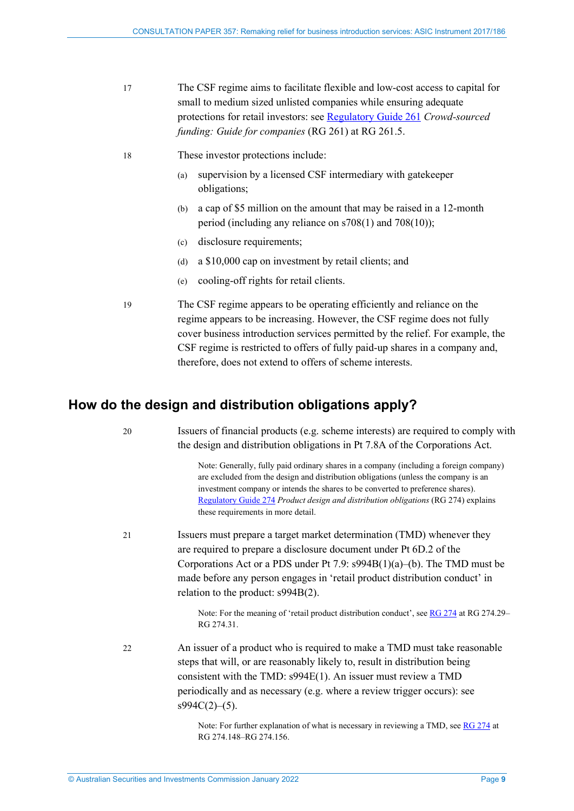- <span id="page-8-1"></span>17 The CSF regime aims to facilitate flexible and low-cost access to capital for small to medium sized unlisted companies while ensuring adequate protections for retail investors: see [Regulatory Guide 261](https://asic.gov.au/regulatory-resources/find-a-document/regulatory-guides/rg-261-crowd-sourced-funding-guide-for-companies/) *Crowd-sourced funding: Guide for companies* (RG 261) at RG 261.5.
- 18 These investor protections include:
	- (a) supervision by a licensed CSF intermediary with gatekeeper obligations;
	- (b) a cap of \$5 million on the amount that may be raised in a 12-month period (including any reliance on s708(1) and 708(10));
	- (c) disclosure requirements;
	- (d) a \$10,000 cap on investment by retail clients; and
	- (e) cooling-off rights for retail clients.
- 19 The CSF regime appears to be operating efficiently and reliance on the regime appears to be increasing. However, the CSF regime does not fully cover business introduction services permitted by the relief. For example, the CSF regime is restricted to offers of fully paid-up shares in a company and, therefore, does not extend to offers of scheme interests.

# <span id="page-8-2"></span><span id="page-8-0"></span>**How do the design and distribution obligations apply?**

20 Issuers of financial products (e.g. scheme interests) are required to comply with the design and distribution obligations in Pt 7.8A of the Corporations Act.

> Note: Generally, fully paid ordinary shares in a company (including a foreign company) are excluded from the design and distribution obligations (unless the company is an investment company or intends the shares to be converted to preference shares). [Regulatory Guide 274](https://asic.gov.au/regulatory-resources/find-a-document/regulatory-guides/rg-274-product-design-and-distribution-obligations/) *Product design and distribution obligations* (RG 274) explains these requirements in more detail.

21 Issuers must prepare a target market determination (TMD) whenever they are required to prepare a disclosure document under Pt 6D.2 of the Corporations Act or a PDS under Pt 7.9: s994B(1)(a)–(b). The TMD must be made before any person engages in 'retail product distribution conduct' in relation to the product: s994B(2).

> Note: For the meaning of 'retail product distribution conduct', se[e RG 274](https://asic.gov.au/regulatory-resources/find-a-document/regulatory-guides/rg-274-product-design-and-distribution-obligations/) at RG 274.29– RG 274.31.

22 An issuer of a product who is required to make a TMD must take reasonable steps that will, or are reasonably likely to, result in distribution being consistent with the TMD: s994E(1). An issuer must review a TMD periodically and as necessary (e.g. where a review trigger occurs): see  $s994C(2)–(5)$ .

> Note: For further explanation of what is necessary in reviewing a TMD, se[e RG 274](https://asic.gov.au/regulatory-resources/find-a-document/regulatory-guides/rg-274-product-design-and-distribution-obligations/) at RG 274.148–RG 274.156.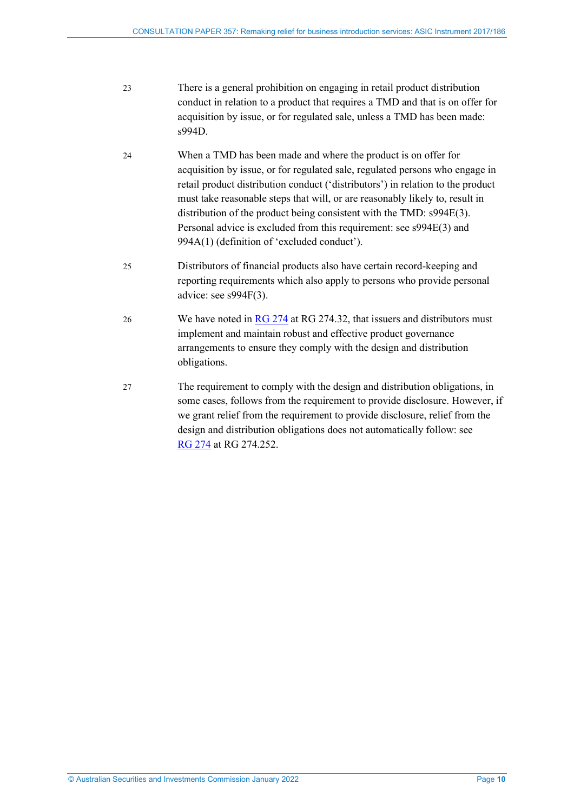- 23 There is a general prohibition on engaging in retail product distribution conduct in relation to a product that requires a TMD and that is on offer for acquisition by issue, or for regulated sale, unless a TMD has been made: s994D.
- 24 When a TMD has been made and where the product is on offer for acquisition by issue, or for regulated sale, regulated persons who engage in retail product distribution conduct ('distributors') in relation to the product must take reasonable steps that will, or are reasonably likely to, result in distribution of the product being consistent with the TMD: s994E(3). Personal advice is excluded from this requirement: see s994E(3) and 994A(1) (definition of 'excluded conduct').
- 25 Distributors of financial products also have certain record-keeping and reporting requirements which also apply to persons who provide personal advice: see s994F(3).
- 26 We have noted in [RG 274](https://asic.gov.au/regulatory-resources/find-a-document/regulatory-guides/rg-274-product-design-and-distribution-obligations/) at RG 274.32, that issuers and distributors must implement and maintain robust and effective product governance arrangements to ensure they comply with the design and distribution obligations.
- <span id="page-9-0"></span>27 The requirement to comply with the design and distribution obligations, in some cases, follows from the requirement to provide disclosure. However, if we grant relief from the requirement to provide disclosure, relief from the design and distribution obligations does not automatically follow: see RG [274](https://asic.gov.au/regulatory-resources/find-a-document/regulatory-guides/rg-274-product-design-and-distribution-obligations/) at RG 274.252.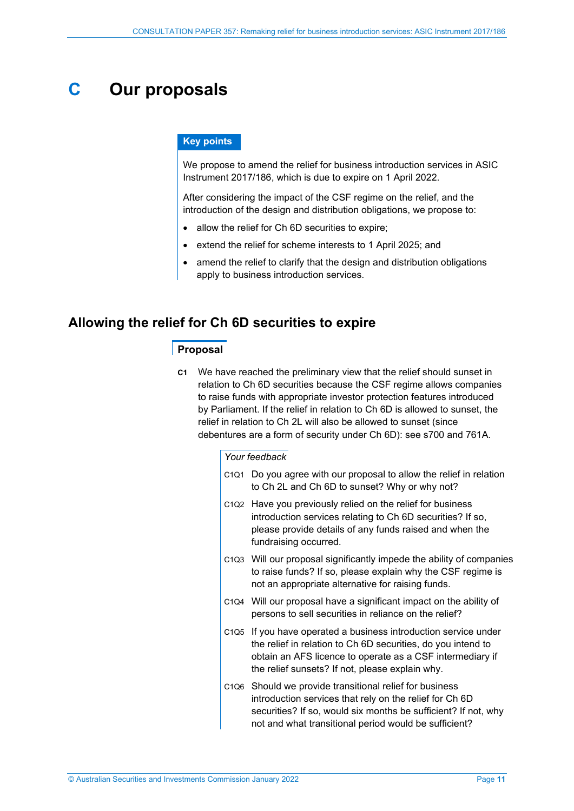# <span id="page-10-0"></span>**C Our proposals**

#### **Key points**

We propose to amend the relief for business introduction services in ASIC Instrument 2017/186, which is due to expire on 1 April 2022.

After considering the impact of the CSF regime on the relief, and the introduction of the design and distribution obligations, we propose to:

- allow the relief for Ch 6D securities to expire;
- extend the relief for scheme interests to 1 April 2025; and
- amend the relief to clarify that the design and distribution obligations apply to business introduction services.

### <span id="page-10-1"></span>**Allowing the relief for Ch 6D securities to expire**

#### **Proposal**

**C1** We have reached the preliminary view that the relief should sunset in relation to Ch 6D securities because the CSF regime allows companies to raise funds with appropriate investor protection features introduced by Parliament. If the relief in relation to Ch 6D is allowed to sunset, the relief in relation to Ch 2L will also be allowed to sunset (since debentures are a form of security under Ch 6D): see s700 and 761A.

#### *Your feedback*

- C1Q1 Do you agree with our proposal to allow the relief in relation to Ch 2L and Ch 6D to sunset? Why or why not?
- C1Q2 Have you previously relied on the relief for business introduction services relating to Ch 6D securities? If so, please provide details of any funds raised and when the fundraising occurred.
- C1Q3 Will our proposal significantly impede the ability of companies to raise funds? If so, please explain why the CSF regime is not an appropriate alternative for raising funds.
- C1Q4 Will our proposal have a significant impact on the ability of persons to sell securities in reliance on the relief?
- C1Q5 If you have operated a business introduction service under the relief in relation to Ch 6D securities, do you intend to obtain an AFS licence to operate as a CSF intermediary if the relief sunsets? If not, please explain why.
- C1Q6 Should we provide transitional relief for business introduction services that rely on the relief for Ch 6D securities? If so, would six months be sufficient? If not, why not and what transitional period would be sufficient?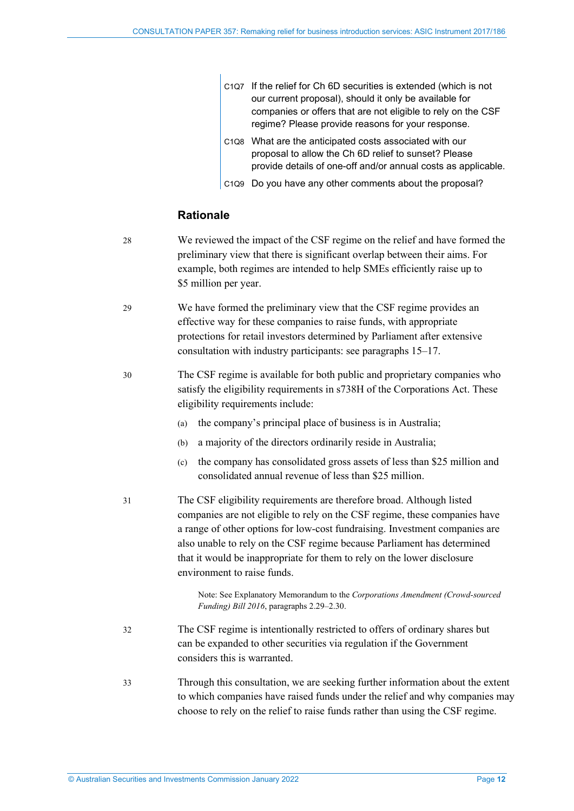| C1Q7 If the relief for Ch 6D securities is extended (which is not |
|-------------------------------------------------------------------|
| our current proposal), should it only be available for            |
| companies or offers that are not eligible to rely on the CSF      |
| regime? Please provide reasons for your response.                 |

- C1Q8 What are the anticipated costs associated with our proposal to allow the Ch 6D relief to sunset? Please provide details of one-off and/or annual costs as applicable.
- C1Q9 Do you have any other comments about the proposal?

### **Rationale**

 $\overline{1}$ 

- 28 We reviewed the impact of the CSF regime on the relief and have formed the preliminary view that there is significant overlap between their aims. For example, both regimes are intended to help SMEs efficiently raise up to \$5 million per year.
- 29 We have formed the preliminary view that the CSF regime provides an effective way for these companies to raise funds, with appropriate protections for retail investors determined by Parliament after extensive consultation with industry participants: see paragraphs [15](#page-7-1)[–17.](#page-8-1)
- 30 The CSF regime is available for both public and proprietary companies who satisfy the eligibility requirements in s738H of the Corporations Act. These eligibility requirements include:
	- (a) the company's principal place of business is in Australia;
	- (b) a majority of the directors ordinarily reside in Australia;
	- (c) the company has consolidated gross assets of less than \$25 million and consolidated annual revenue of less than \$25 million.
- 31 The CSF eligibility requirements are therefore broad. Although listed companies are not eligible to rely on the CSF regime, these companies have a range of other options for low-cost fundraising. Investment companies are also unable to rely on the CSF regime because Parliament has determined that it would be inappropriate for them to rely on the lower disclosure environment to raise funds.

Note: See Explanatory Memorandum to the *Corporations Amendment (Crowd-sourced Funding) Bill 2016*, paragraphs 2.29–2.30.

- 32 The CSF regime is intentionally restricted to offers of ordinary shares but can be expanded to other securities via regulation if the Government considers this is warranted.
- 33 Through this consultation, we are seeking further information about the extent to which companies have raised funds under the relief and why companies may choose to rely on the relief to raise funds rather than using the CSF regime.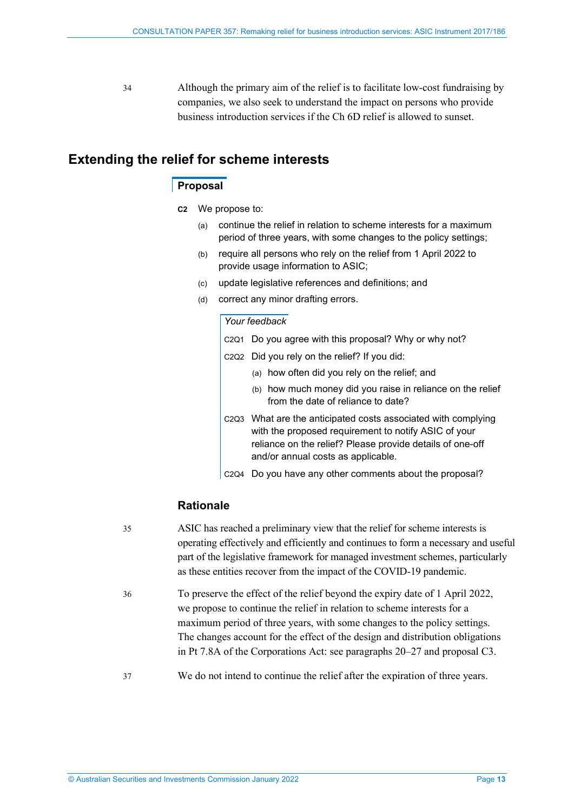34 Although the primary aim of the relief is to facilitate low-cost fundraising by companies, we also seek to understand the impact on persons who provide business introduction services if the Ch 6D relief is allowed to sunset.

### <span id="page-12-2"></span><span id="page-12-1"></span><span id="page-12-0"></span>**Extending the relief for scheme interests**

### **Proposal**

- **C2** We propose to:
	- (a) continue the relief in relation to scheme interests for a maximum period of three years, with some changes to the policy settings;
	- (b) require all persons who rely on the relief from 1 April 2022 to provide usage information to ASIC;
	- (c) update legislative references and definitions; and
	- (d) correct any minor drafting errors.

#### *Your feedback*

- C2Q1 Do you agree with this proposal? Why or why not?
- C2Q2 Did you rely on the relief? If you did:
	- (a) how often did you rely on the relief; and
	- (b) how much money did you raise in reliance on the relief from the date of reliance to date?
- C2Q3 What are the anticipated costs associated with complying with the proposed requirement to notify ASIC of your reliance on the relief? Please provide details of one-off and/or annual costs as applicable.
- C2Q4 Do you have any other comments about the proposal?

### **Rationale**

- 35 ASIC has reached a preliminary view that the relief for scheme interests is operating effectively and efficiently and continues to form a necessary and useful part of the legislative framework for managed investment schemes, particularly as these entities recover from the impact of the COVID-19 pandemic. 36 To preserve the effect of the relief beyond the expiry date of 1 April 2022, we propose to continue the relief in relation to scheme interests for a maximum period of three years, with some changes to the policy settings. The changes account for the effect of the design and distribution obligations in Pt 7.8A of the Corporations Act: see paragraphs [20](#page-8-2)[–27](#page-9-0) and proposal [C3.](#page-13-1)
- 37 We do not intend to continue the relief after the expiration of three years.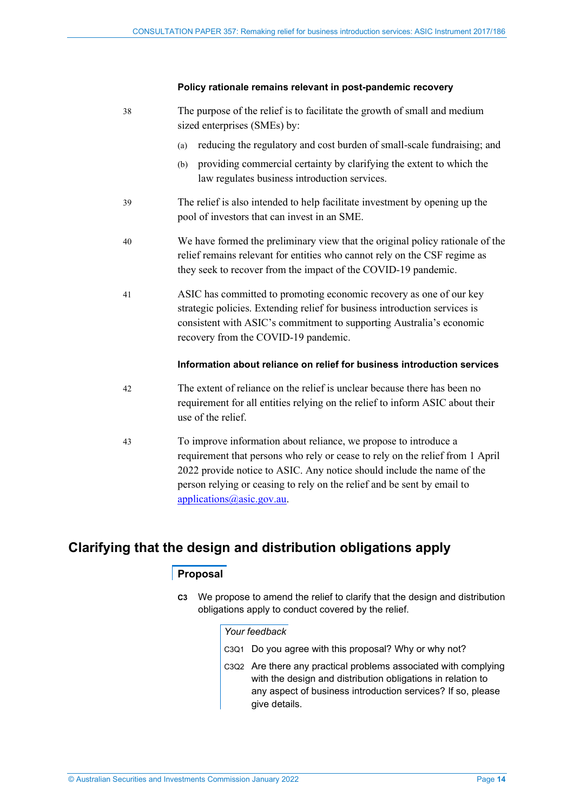#### **Policy rationale remains relevant in post-pandemic recovery**

| 38 | The purpose of the relief is to facilitate the growth of small and medium<br>sized enterprises (SMEs) by:                                                                                                                                                                                              |  |  |
|----|--------------------------------------------------------------------------------------------------------------------------------------------------------------------------------------------------------------------------------------------------------------------------------------------------------|--|--|
|    | reducing the regulatory and cost burden of small-scale fundraising; and<br>(a)                                                                                                                                                                                                                         |  |  |
|    | providing commercial certainty by clarifying the extent to which the<br>(b)<br>law regulates business introduction services.                                                                                                                                                                           |  |  |
| 39 | The relief is also intended to help facilitate investment by opening up the<br>pool of investors that can invest in an SME.                                                                                                                                                                            |  |  |
| 40 | We have formed the preliminary view that the original policy rationale of the<br>relief remains relevant for entities who cannot rely on the CSF regime as<br>they seek to recover from the impact of the COVID-19 pandemic.                                                                           |  |  |
| 41 | ASIC has committed to promoting economic recovery as one of our key<br>strategic policies. Extending relief for business introduction services is<br>consistent with ASIC's commitment to supporting Australia's economic<br>recovery from the COVID-19 pandemic.                                      |  |  |
|    | Information about reliance on relief for business introduction services                                                                                                                                                                                                                                |  |  |
| 42 | The extent of reliance on the relief is unclear because there has been no<br>requirement for all entities relying on the relief to inform ASIC about their<br>use of the relief.                                                                                                                       |  |  |
| 43 | To improve information about reliance, we propose to introduce a<br>requirement that persons who rely or cease to rely on the relief from 1 April<br>2022 provide notice to ASIC. Any notice should include the name of the<br>person relying or ceasing to rely on the relief and be sent by email to |  |  |

# <span id="page-13-1"></span><span id="page-13-0"></span>**Clarifying that the design and distribution obligations apply**

[applications@asic.gov.au.](mailto:applications@asic.gov.au)

### **Proposal**

**C3** We propose to amend the relief to clarify that the design and distribution obligations apply to conduct covered by the relief.

#### *Your feedback*

- C3Q1 Do you agree with this proposal? Why or why not?
- C3Q2 Are there any practical problems associated with complying with the design and distribution obligations in relation to any aspect of business introduction services? If so, please give details.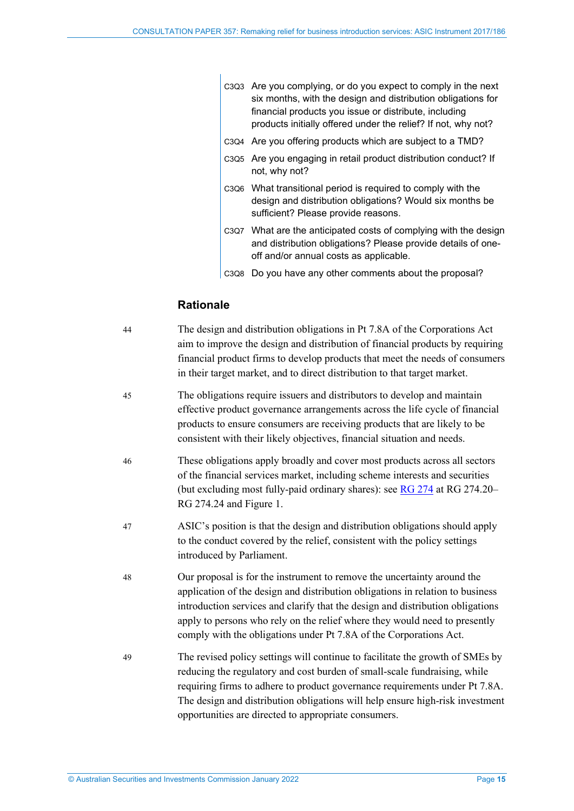| C3Q3 Are you complying, or do you expect to comply in the next |  |  |
|----------------------------------------------------------------|--|--|
| six months, with the design and distribution obligations for   |  |  |
| financial products you issue or distribute, including          |  |  |
| products initially offered under the relief? If not, why not?  |  |  |
|                                                                |  |  |

- C3Q4 Are you offering products which are subject to a TMD?
- C3Q5 Are you engaging in retail product distribution conduct? If not, why not?
- C3Q6 What transitional period is required to comply with the design and distribution obligations? Would six months be sufficient? Please provide reasons.
- C3Q7 What are the anticipated costs of complying with the design and distribution obligations? Please provide details of oneoff and/or annual costs as applicable.
- C3Q8 Do you have any other comments about the proposal?

### **Rationale**

| 44 | The design and distribution obligations in Pt 7.8A of the Corporations Act<br>aim to improve the design and distribution of financial products by requiring<br>financial product firms to develop products that meet the needs of consumers<br>in their target market, and to direct distribution to that target market.                                                                        |
|----|-------------------------------------------------------------------------------------------------------------------------------------------------------------------------------------------------------------------------------------------------------------------------------------------------------------------------------------------------------------------------------------------------|
| 45 | The obligations require issuers and distributors to develop and maintain<br>effective product governance arrangements across the life cycle of financial<br>products to ensure consumers are receiving products that are likely to be<br>consistent with their likely objectives, financial situation and needs.                                                                                |
| 46 | These obligations apply broadly and cover most products across all sectors<br>of the financial services market, including scheme interests and securities<br>(but excluding most fully-paid ordinary shares): see RG 274 at RG 274.20-<br>RG 274.24 and Figure 1.                                                                                                                               |
| 47 | ASIC's position is that the design and distribution obligations should apply<br>to the conduct covered by the relief, consistent with the policy settings<br>introduced by Parliament.                                                                                                                                                                                                          |
| 48 | Our proposal is for the instrument to remove the uncertainty around the<br>application of the design and distribution obligations in relation to business<br>introduction services and clarify that the design and distribution obligations<br>apply to persons who rely on the relief where they would need to presently<br>comply with the obligations under Pt 7.8A of the Corporations Act. |
| 49 | The revised policy settings will continue to facilitate the growth of SMEs by<br>reducing the regulatory and cost burden of small-scale fundraising, while<br>requiring firms to adhere to product governance requirements under Pt 7.8A.<br>The design and distribution obligations will help ensure high-risk investment<br>opportunities are directed to appropriate consumers.              |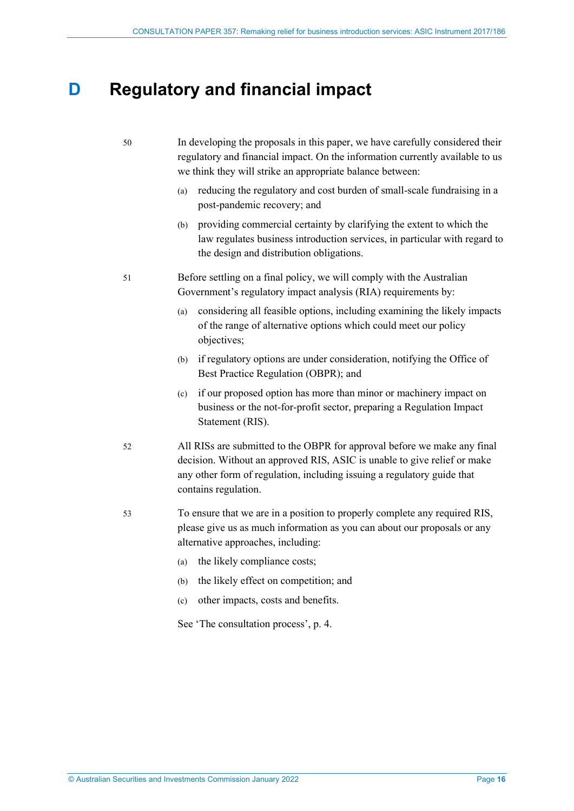# <span id="page-15-0"></span>**D Regulatory and financial impact**

- 50 In developing the proposals in this paper, we have carefully considered their regulatory and financial impact. On the information currently available to us we think they will strike an appropriate balance between:
	- (a) reducing the regulatory and cost burden of small-scale fundraising in a post-pandemic recovery; and
	- (b) providing commercial certainty by clarifying the extent to which the law regulates business introduction services, in particular with regard to the design and distribution obligations.
- 51 Before settling on a final policy, we will comply with the Australian Government's regulatory impact analysis (RIA) requirements by:
	- (a) considering all feasible options, including examining the likely impacts of the range of alternative options which could meet our policy objectives;
	- (b) if regulatory options are under consideration, notifying the Office of Best Practice Regulation (OBPR); and
	- (c) if our proposed option has more than minor or machinery impact on business or the not-for-profit sector, preparing a Regulation Impact Statement (RIS).
- 52 All RISs are submitted to the OBPR for approval before we make any final decision. Without an approved RIS, ASIC is unable to give relief or make any other form of regulation, including issuing a regulatory guide that contains regulation.
- 53 To ensure that we are in a position to properly complete any required RIS, please give us as much information as you can about our proposals or any alternative approaches, including:
	- (a) the likely compliance costs;
	- (b) the likely effect on competition; and
	- (c) other impacts, costs and benefits.

See 'The consultation process', p. [4.](#page-3-1)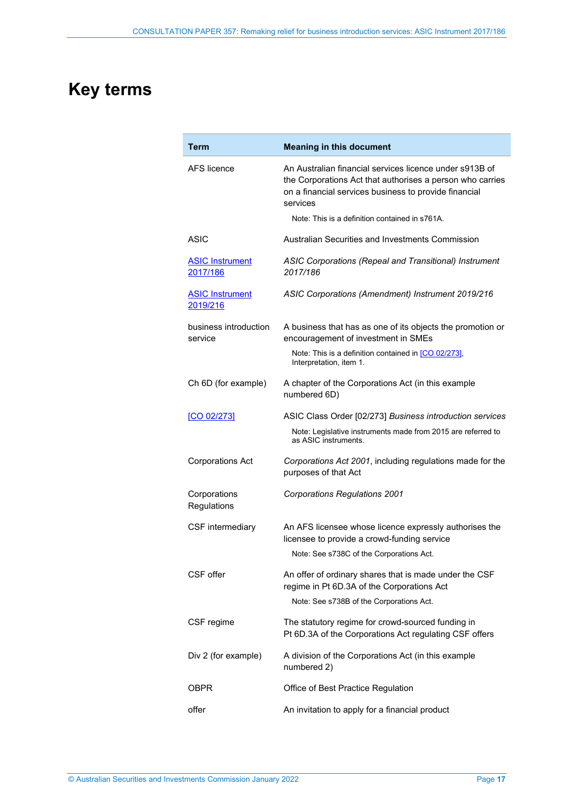# <span id="page-16-0"></span>**Key terms**

| <b>Term</b>                        | <b>Meaning in this document</b>                                                                                                                                                           |
|------------------------------------|-------------------------------------------------------------------------------------------------------------------------------------------------------------------------------------------|
| AFS licence                        | An Australian financial services licence under s913B of<br>the Corporations Act that authorises a person who carries<br>on a financial services business to provide financial<br>services |
|                                    | Note: This is a definition contained in s761A.                                                                                                                                            |
| ASIC                               | Australian Securities and Investments Commission                                                                                                                                          |
| <b>ASIC Instrument</b><br>2017/186 | ASIC Corporations (Repeal and Transitional) Instrument<br>2017/186                                                                                                                        |
| <b>ASIC Instrument</b><br>2019/216 | ASIC Corporations (Amendment) Instrument 2019/216                                                                                                                                         |
| business introduction<br>service   | A business that has as one of its objects the promotion or<br>encouragement of investment in SMEs                                                                                         |
|                                    | Note: This is a definition contained in [CO 02/273],<br>Interpretation, item 1.                                                                                                           |
| Ch 6D (for example)                | A chapter of the Corporations Act (in this example<br>numbered 6D)                                                                                                                        |
| [CO 02/273]                        | ASIC Class Order [02/273] Business introduction services<br>Note: Legislative instruments made from 2015 are referred to<br>as ASIC instruments.                                          |
| <b>Corporations Act</b>            | Corporations Act 2001, including regulations made for the<br>purposes of that Act                                                                                                         |
| Corporations<br>Regulations        | <b>Corporations Regulations 2001</b>                                                                                                                                                      |
| CSF intermediary                   | An AFS licensee whose licence expressly authorises the<br>licensee to provide a crowd-funding service                                                                                     |
|                                    | Note: See s738C of the Corporations Act.                                                                                                                                                  |
| CSF offer                          | An offer of ordinary shares that is made under the CSF<br>regime in Pt 6D.3A of the Corporations Act                                                                                      |
|                                    | Note: See s738B of the Corporations Act.                                                                                                                                                  |
| CSF regime                         | The statutory regime for crowd-sourced funding in<br>Pt 6D.3A of the Corporations Act regulating CSF offers                                                                               |
| Div 2 (for example)                | A division of the Corporations Act (in this example<br>numbered 2)                                                                                                                        |
| OBPR                               | Office of Best Practice Regulation                                                                                                                                                        |
| offer                              | An invitation to apply for a financial product                                                                                                                                            |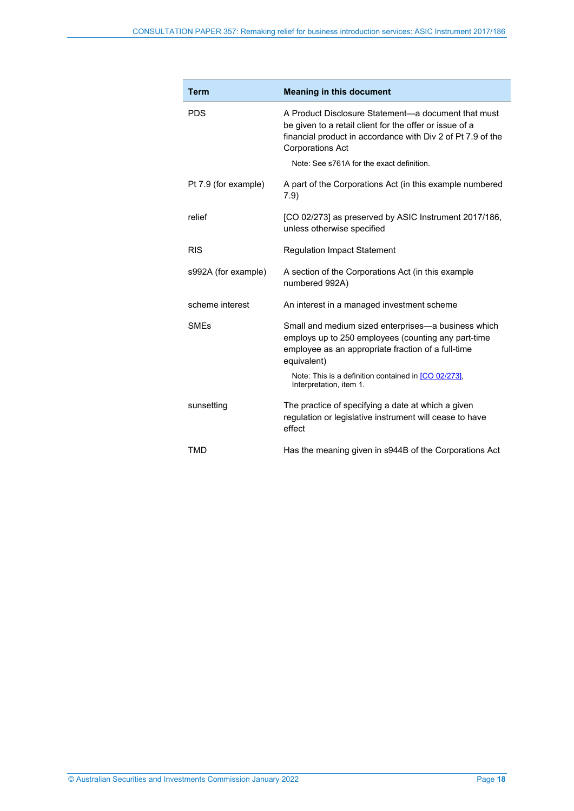| <b>Term</b>            | <b>Meaning in this document</b>                                                                                                                                                                          |
|------------------------|----------------------------------------------------------------------------------------------------------------------------------------------------------------------------------------------------------|
| <b>PDS</b>             | A Product Disclosure Statement—a document that must<br>be given to a retail client for the offer or issue of a<br>financial product in accordance with Div 2 of Pt 7.9 of the<br><b>Corporations Act</b> |
|                        | Note: See s761A for the exact definition.                                                                                                                                                                |
| Pt 7.9 (for example)   | A part of the Corporations Act (in this example numbered<br>7.9)                                                                                                                                         |
| relief                 | [CO 02/273] as preserved by ASIC Instrument 2017/186,<br>unless otherwise specified                                                                                                                      |
| <b>RIS</b>             | <b>Regulation Impact Statement</b>                                                                                                                                                                       |
| s992A (for example)    | A section of the Corporations Act (in this example<br>numbered 992A)                                                                                                                                     |
| scheme interest        | An interest in a managed investment scheme                                                                                                                                                               |
| <b>SME<sub>s</sub></b> | Small and medium sized enterprises—a business which<br>employs up to 250 employees (counting any part-time<br>employee as an appropriate fraction of a full-time<br>equivalent)                          |
|                        | Note: This is a definition contained in [CO 02/273],<br>Interpretation, item 1.                                                                                                                          |
| sunsetting             | The practice of specifying a date at which a given<br>regulation or legislative instrument will cease to have<br>effect                                                                                  |
| <b>TMD</b>             | Has the meaning given in s944B of the Corporations Act                                                                                                                                                   |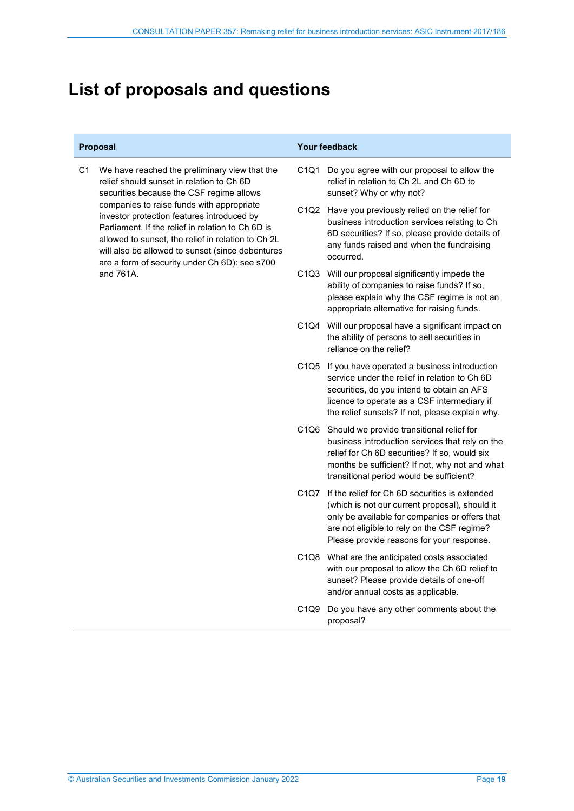# <span id="page-18-0"></span>**List of proposals and questions**

C1 We have reached the preliminary view that the relief should sunset in relation to Ch 6D securities because the CSF regime allows companies to raise funds with appropriate investor protection features introduced by Parliament. If the relief in relation to Ch 6D is allowed to sunset, the relief in relation to Ch 2L will also be allowed to sunset (since debentures are a form of security under Ch 6D): see s700 and 761A.

#### **Proposal Your feedback**

- C1Q1 Do you agree with our proposal to allow the relief in relation to Ch 2L and Ch 6D to sunset? Why or why not?
- C1Q2 Have you previously relied on the relief for business introduction services relating to Ch 6D securities? If so, please provide details of any funds raised and when the fundraising occurred.
- C1Q3 Will our proposal significantly impede the ability of companies to raise funds? If so, please explain why the CSF regime is not an appropriate alternative for raising funds.
- C1Q4 Will our proposal have a significant impact on the ability of persons to sell securities in reliance on the relief?
- C1Q5 If you have operated a business introduction service under the relief in relation to Ch 6D securities, do you intend to obtain an AFS licence to operate as a CSF intermediary if the relief sunsets? If not, please explain why.
- C1Q6 Should we provide transitional relief for business introduction services that rely on the relief for Ch 6D securities? If so, would six months be sufficient? If not, why not and what transitional period would be sufficient?
- C1Q7 If the relief for Ch 6D securities is extended (which is not our current proposal), should it only be available for companies or offers that are not eligible to rely on the CSF regime? Please provide reasons for your response.
- C1Q8 What are the anticipated costs associated with our proposal to allow the Ch 6D relief to sunset? Please provide details of one-off and/or annual costs as applicable.
- C1Q9 Do you have any other comments about the proposal?